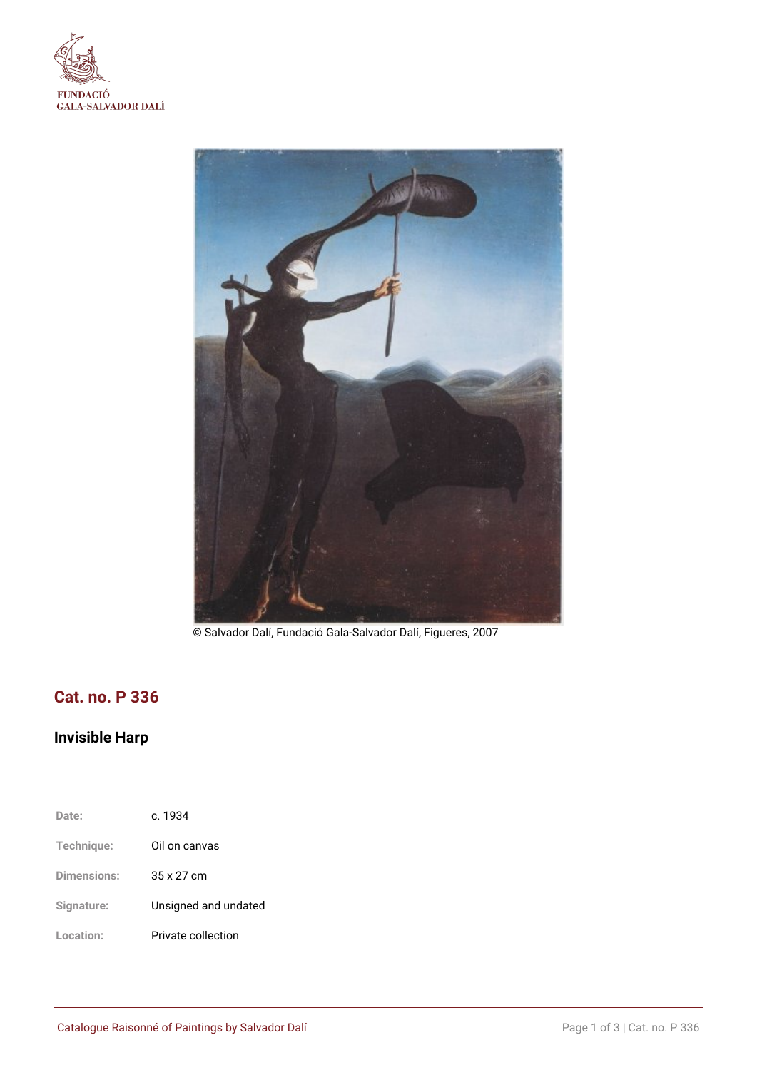



© Salvador Dalí, Fundació Gala-Salvador Dalí, Figueres, 2007

## **Cat. no. P 336**

# **Invisible Harp**

| Date:       | c. 1934              |
|-------------|----------------------|
| Technique:  | Oil on canvas        |
| Dimensions: | 35 x 27 cm           |
| Signature:  | Unsigned and undated |
| Location:   | Private collection   |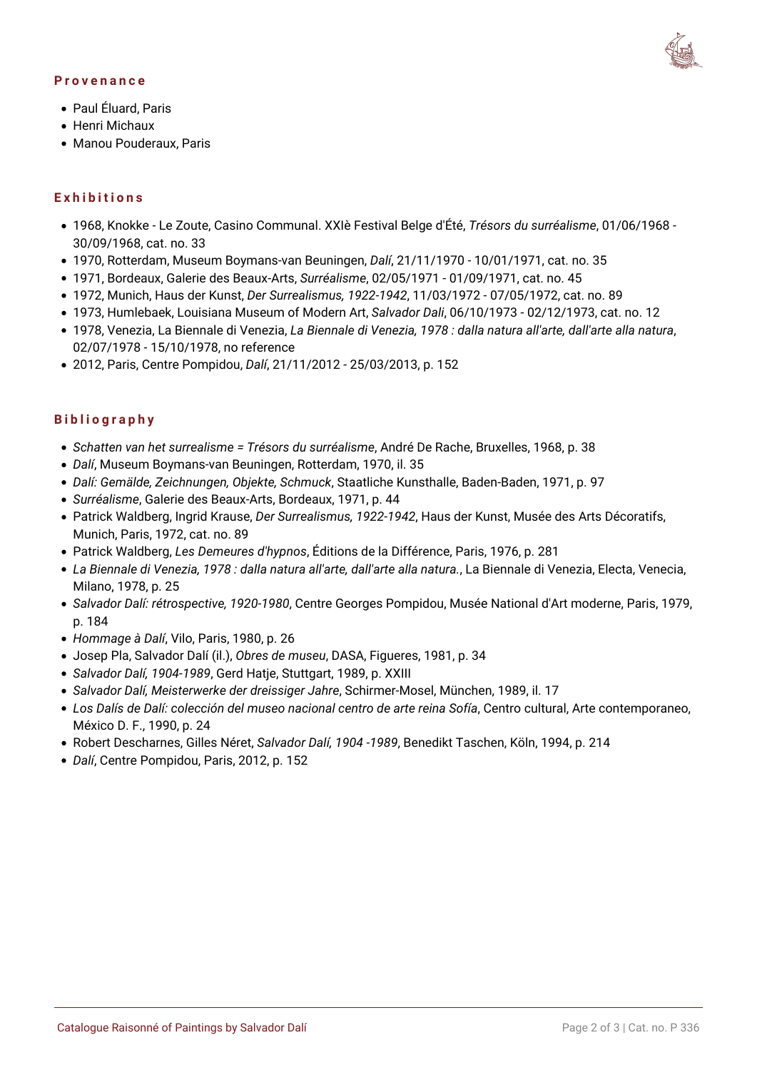#### **Provenance**



- Paul Éluard, Paris
- Henri Michaux
- Manou Pouderaux, Paris

#### **Exhibitions**

- 1968, Knokke Le Zoute, Casino Communal. XXIè Festival Belge d'Été, *Trésors du surréalisme*, 01/06/1968 30/09/1968, cat. no. 33
- 1970, Rotterdam, Museum Boymans-van Beuningen, *Dalí*, 21/11/1970 10/01/1971, cat. no. 35
- 1971, Bordeaux, Galerie des Beaux-Arts, *Surréalisme*, 02/05/1971 01/09/1971, cat. no. 45
- 1972, Munich, Haus der Kunst, *Der Surrealismus, 1922-1942*, 11/03/1972 07/05/1972, cat. no. 89
- 1973, Humlebaek, Louisiana Museum of Modern Art, *Salvador Dali*, 06/10/1973 02/12/1973, cat. no. 12
- 1978, Venezia, La Biennale di Venezia, *La Biennale di Venezia, 1978 : dalla natura all'arte, dall'arte alla natura*, 02/07/1978 - 15/10/1978, no reference
- 2012, Paris, Centre Pompidou, *Dalí*, 21/11/2012 25/03/2013, p. 152

#### **Bibliography**

- *Schatten van het surrealisme = Trésors du surréalisme*, André De Rache, Bruxelles, 1968, p. 38
- *Dalí*, Museum Boymans-van Beuningen, Rotterdam, 1970, il. 35
- *Dalí: Gemälde, Zeichnungen, Objekte, Schmuck*, Staatliche Kunsthalle, Baden-Baden, 1971, p. 97
- *Surréalisme*, Galerie des Beaux-Arts, Bordeaux, 1971, p. 44
- Patrick Waldberg, Ingrid Krause, *Der Surrealismus, 1922-1942*, Haus der Kunst, Musée des Arts Décoratifs, Munich, Paris, 1972, cat. no. 89
- Patrick Waldberg, *Les Demeures d'hypnos*, Éditions de la Différence, Paris, 1976, p. 281
- *La Biennale di Venezia, 1978 : dalla natura all'arte, dall'arte alla natura.*, La Biennale di Venezia, Electa, Venecia, Milano, 1978, p. 25
- *Salvador Dalí: rétrospective, 1920-1980*, Centre Georges Pompidou, Musée National d'Art moderne, Paris, 1979, p. 184
- *Hommage à Dalí*, Vilo, Paris, 1980, p. 26
- Josep Pla, Salvador Dalí (il.), *Obres de museu*, DASA, Figueres, 1981, p. 34
- *Salvador Dalí, 1904-1989*, Gerd Hatje, Stuttgart, 1989, p. XXIII
- *Salvador Dalí, Meisterwerke der dreissiger Jahre*, Schirmer-Mosel, München, 1989, il. 17
- *Los Dalís de Dalí: colección del museo nacional centro de arte reina Sofía*, Centro cultural, Arte contemporaneo, México D. F., 1990, p. 24
- Robert Descharnes, Gilles Néret, *Salvador Dalí, 1904 -1989*, Benedikt Taschen, Köln, 1994, p. 214
- *Dalí*, Centre Pompidou, Paris, 2012, p. 152